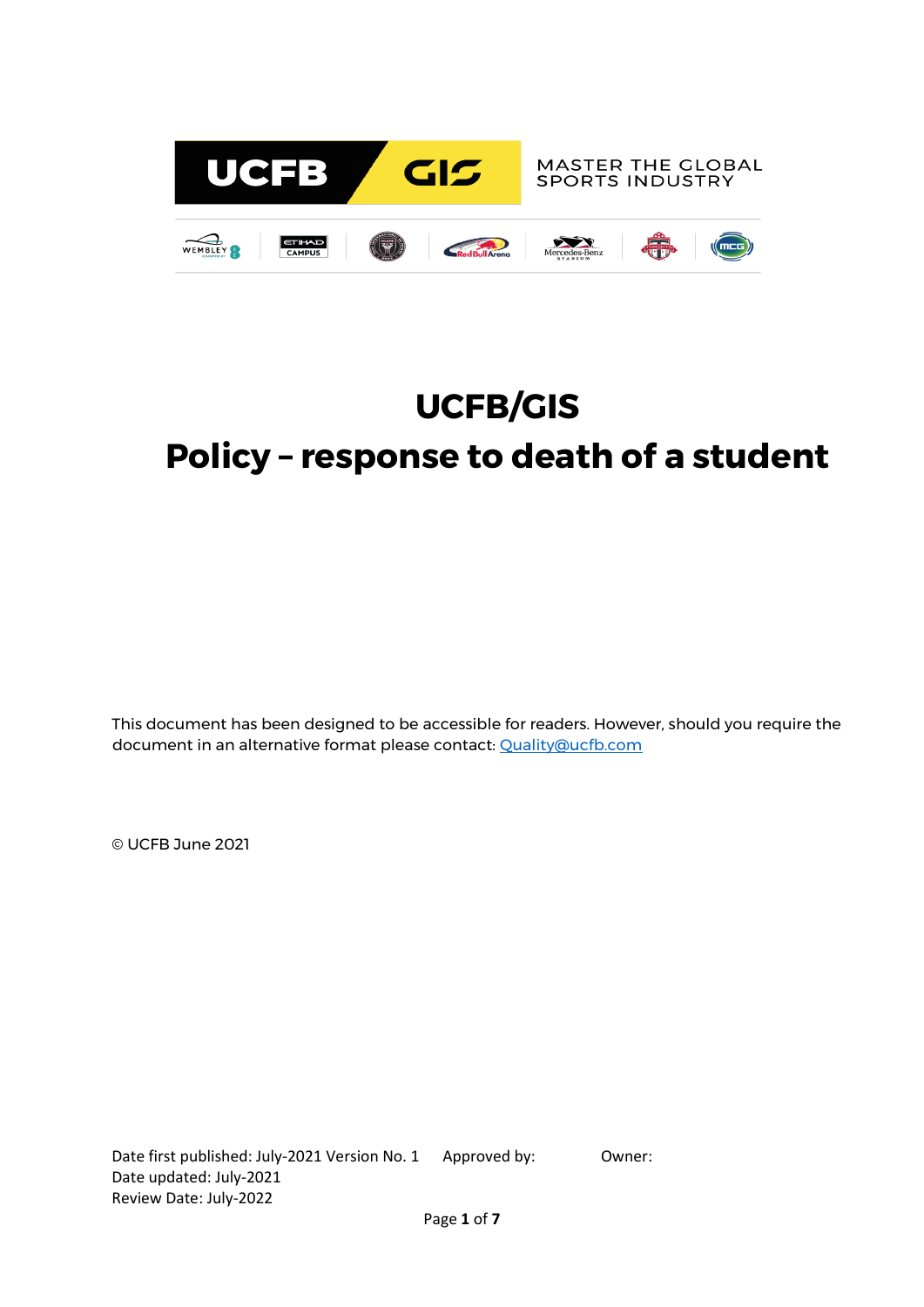

# **UCFB/GIS Policy – response to death of a student**

This document has been designed to be accessible for readers. However, should you require the document in an alternative format please contact: [Quality@ucfb.com](mailto:Quality@ucfb.com)

© UCFB June 2021

Date first published: July-2021 Version No. 1 Approved by: 0wner: Date updated: July-2021 Review Date: July-2022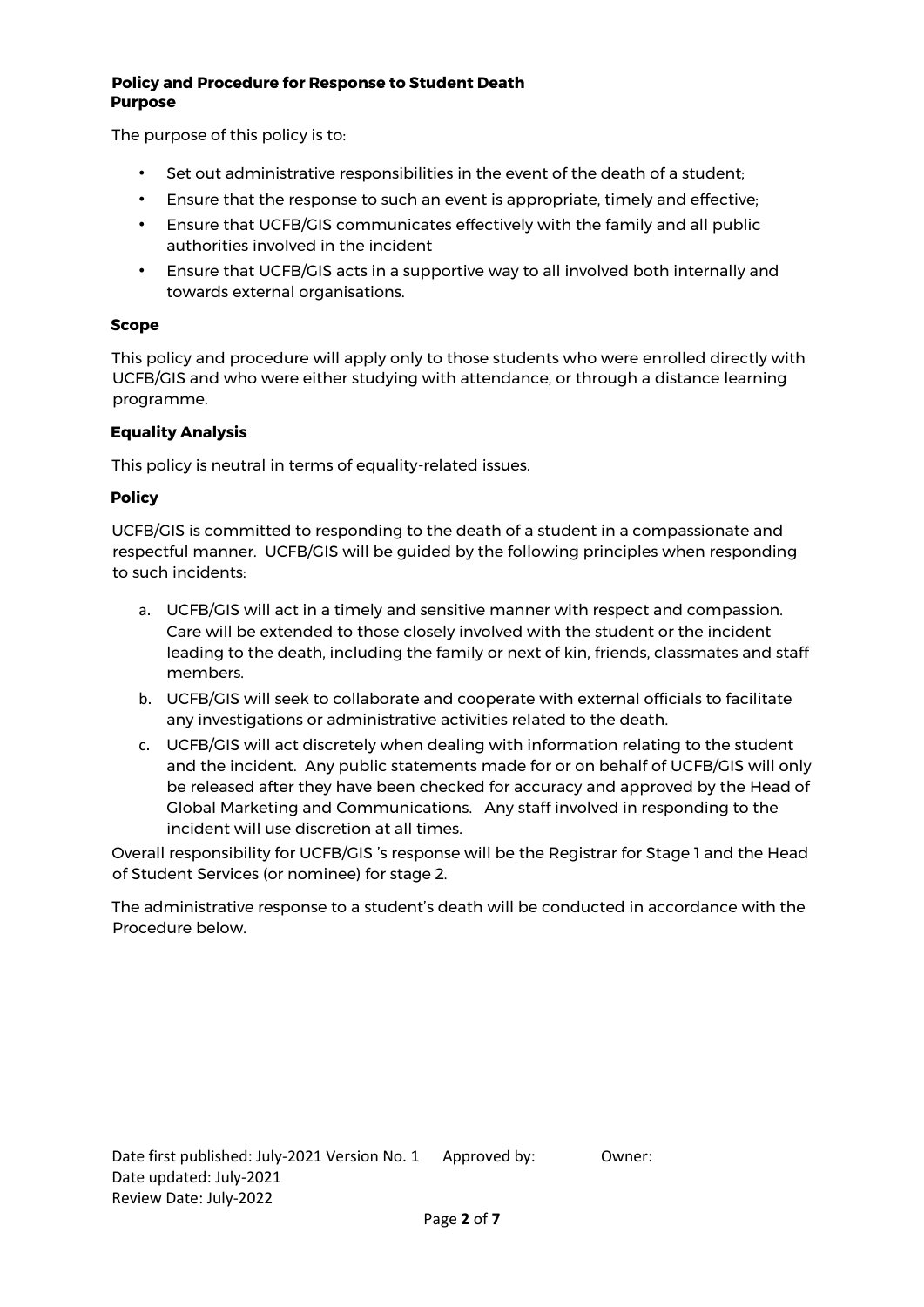#### **Policy and Procedure for Response to Student Death Purpose**

The purpose of this policy is to:

- Set out administrative responsibilities in the event of the death of a student;
- Ensure that the response to such an event is appropriate, timely and effective;
- Ensure that UCFB/GIS communicates effectively with the family and all public authorities involved in the incident
- Ensure that UCFB/GIS acts in a supportive way to all involved both internally and towards external organisations.

#### **Scope**

This policy and procedure will apply only to those students who were enrolled directly with UCFB/GIS and who were either studying with attendance, or through a distance learning programme.

## **Equality Analysis**

This policy is neutral in terms of equality-related issues.

## **Policy**

UCFB/GIS is committed to responding to the death of a student in a compassionate and respectful manner. UCFB/GIS will be guided by the following principles when responding to such incidents:

- a. UCFB/GIS will act in a timely and sensitive manner with respect and compassion. Care will be extended to those closely involved with the student or the incident leading to the death, including the family or next of kin, friends, classmates and staff members.
- b. UCFB/GIS will seek to collaborate and cooperate with external officials to facilitate any investigations or administrative activities related to the death.
- c. UCFB/GIS will act discretely when dealing with information relating to the student and the incident. Any public statements made for or on behalf of UCFB/GIS will only be released after they have been checked for accuracy and approved by the Head of Global Marketing and Communications. Any staff involved in responding to the incident will use discretion at all times.

Overall responsibility for UCFB/GIS 's response will be the Registrar for Stage 1 and the Head of Student Services (or nominee) for stage 2.

The administrative response to a student's death will be conducted in accordance with the Procedure below.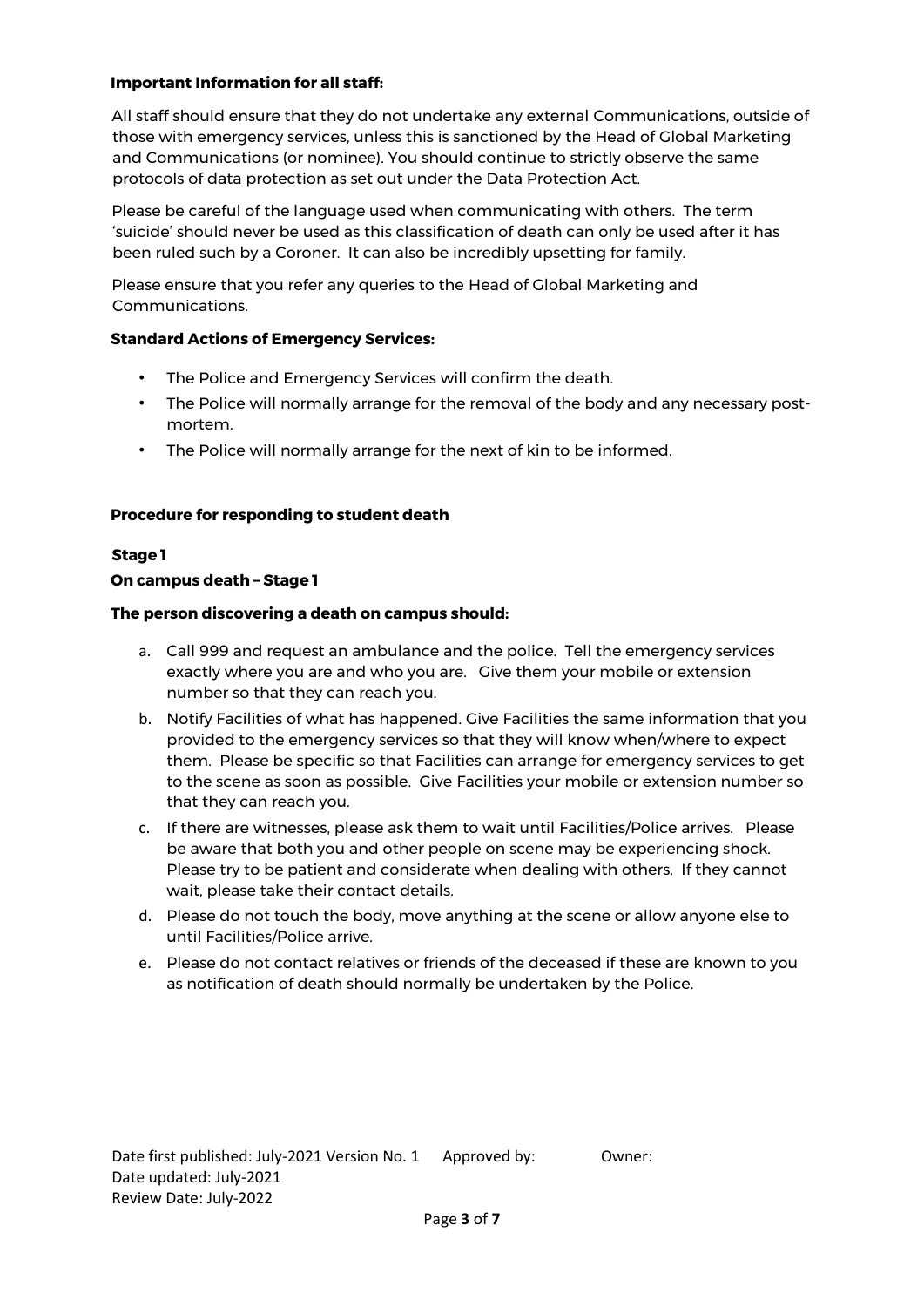## **Important Information for all staff:**

All staff should ensure that they do not undertake any external Communications, outside of those with emergency services, unless this is sanctioned by the Head of Global Marketing and Communications (or nominee). You should continue to strictly observe the same protocols of data protection as set out under the Data Protection Act.

Please be careful of the language used when communicating with others. The term 'suicide' should never be used as this classification of death can only be used after it has been ruled such by a Coroner. It can also be incredibly upsetting for family.

Please ensure that you refer any queries to the Head of Global Marketing and Communications.

## **Standard Actions of Emergency Services:**

- The Police and Emergency Services will confirm the death.
- The Police will normally arrange for the removal of the body and any necessary postmortem.
- The Police will normally arrange for the next of kin to be informed.

## **Procedure for responding to student death**

## **Stage 1**

## **On campus death – Stage 1**

## **The person discovering a death on campus should:**

- a. Call 999 and request an ambulance and the police. Tell the emergency services exactly where you are and who you are. Give them your mobile or extension number so that they can reach you.
- b. Notify Facilities of what has happened. Give Facilities the same information that you provided to the emergency services so that they will know when/where to expect them. Please be specific so that Facilities can arrange for emergency services to get to the scene as soon as possible. Give Facilities your mobile or extension number so that they can reach you.
- c. If there are witnesses, please ask them to wait until Facilities/Police arrives. Please be aware that both you and other people on scene may be experiencing shock. Please try to be patient and considerate when dealing with others. If they cannot wait, please take their contact details.
- d. Please do not touch the body, move anything at the scene or allow anyone else to until Facilities/Police arrive.
- e. Please do not contact relatives or friends of the deceased if these are known to you as notification of death should normally be undertaken by the Police.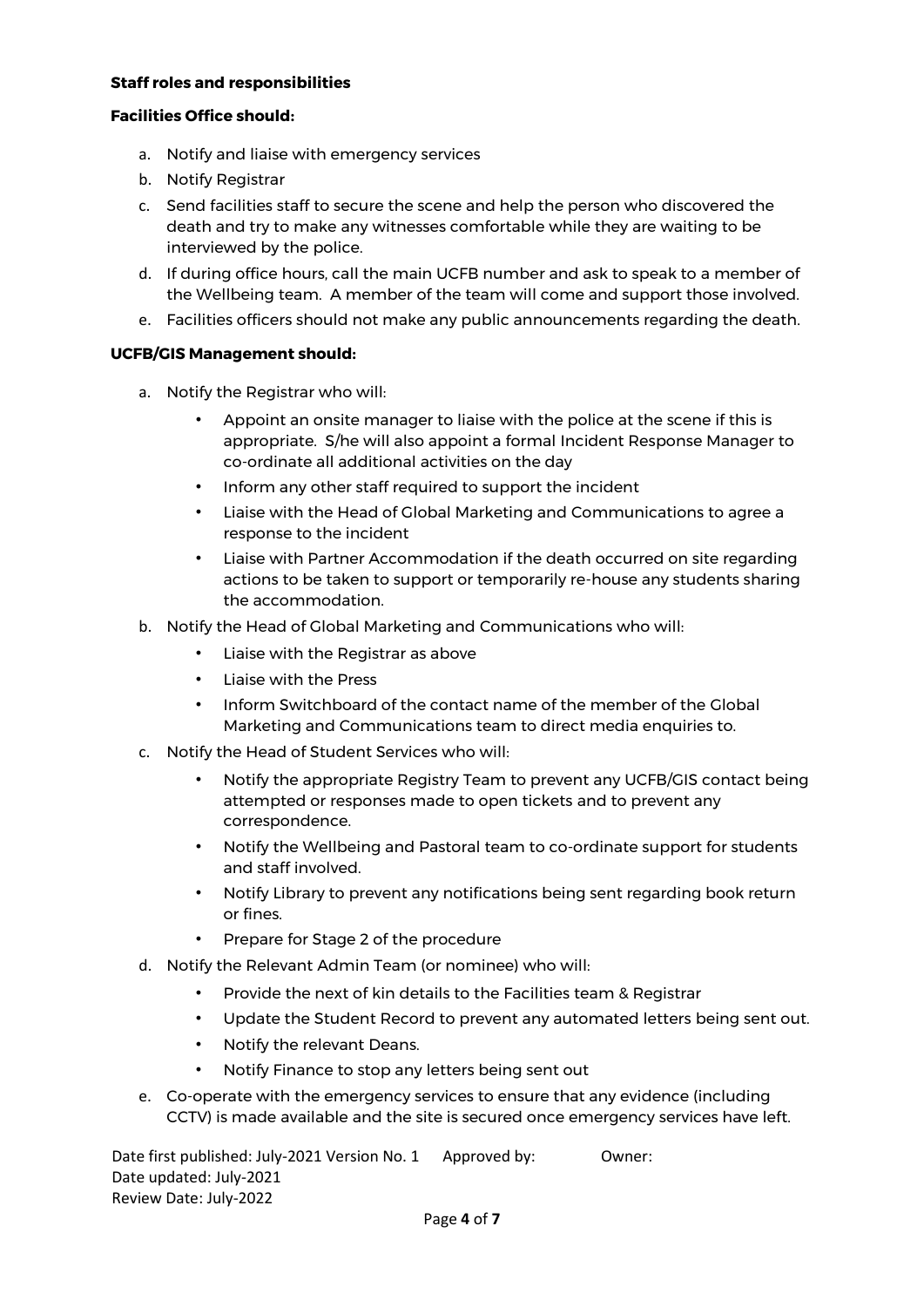## **Staff roles and responsibilities**

## **Facilities Office should:**

- a. Notify and liaise with emergency services
- b. Notify Registrar
- c. Send facilities staff to secure the scene and help the person who discovered the death and try to make any witnesses comfortable while they are waiting to be interviewed by the police.
- d. If during office hours, call the main UCFB number and ask to speak to a member of the Wellbeing team. A member of the team will come and support those involved.
- e. Facilities officers should not make any public announcements regarding the death.

#### **UCFB/GIS Management should:**

- a. Notify the Registrar who will:
	- Appoint an onsite manager to liaise with the police at the scene if this is appropriate. S/he will also appoint a formal Incident Response Manager to co-ordinate all additional activities on the day
	- Inform any other staff required to support the incident
	- Liaise with the Head of Global Marketing and Communications to agree a response to the incident
	- Liaise with Partner Accommodation if the death occurred on site regarding actions to be taken to support or temporarily re-house any students sharing the accommodation.
- b. Notify the Head of Global Marketing and Communications who will:
	- Liaise with the Registrar as above
	- Liaise with the Press
	- Inform Switchboard of the contact name of the member of the Global Marketing and Communications team to direct media enquiries to.
- c. Notify the Head of Student Services who will:
	- Notify the appropriate Registry Team to prevent any UCFB/GIS contact being attempted or responses made to open tickets and to prevent any correspondence.
	- Notify the Wellbeing and Pastoral team to co-ordinate support for students and staff involved.
	- Notify Library to prevent any notifications being sent regarding book return or fines.
	- Prepare for Stage 2 of the procedure
- d. Notify the Relevant Admin Team (or nominee) who will:
	- Provide the next of kin details to the Facilities team & Registrar
	- Update the Student Record to prevent any automated letters being sent out.
	- Notify the relevant Deans.
	- Notify Finance to stop any letters being sent out
- e. Co-operate with the emergency services to ensure that any evidence (including CCTV) is made available and the site is secured once emergency services have left.

Date first published: July-2021 Version No. 1 Approved by: Owner: Date updated: July-2021 Review Date: July-2022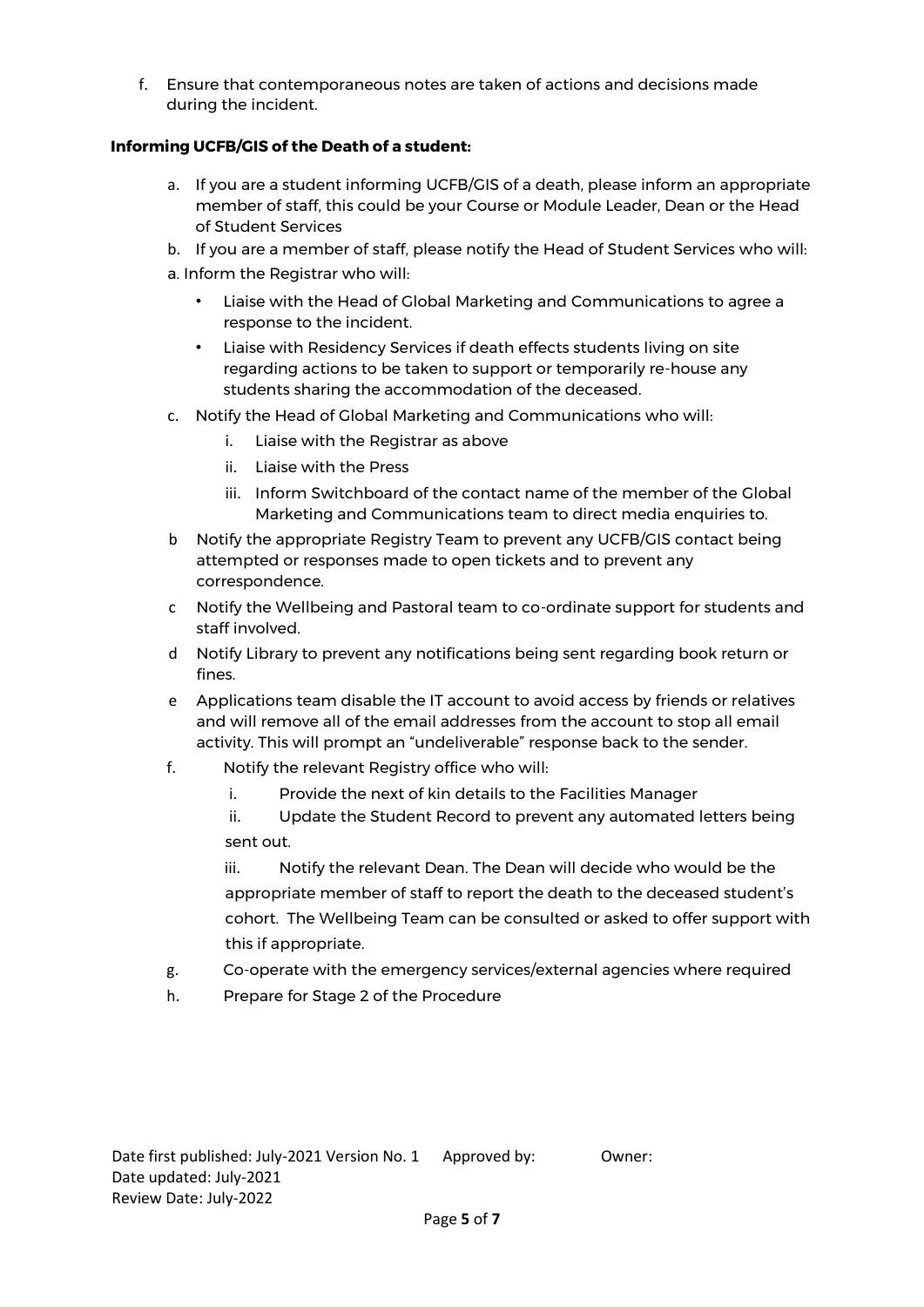f. Ensure that contemporaneous notes are taken of actions and decisions made during the incident.

# **Informing UCFB/GIS of the Death of a student:**

- a. If you are a student informing UCFB/GIS of a death, please inform an appropriate member of staff, this could be your Course or Module Leader, Dean or the Head of Student Services
- b. If you are a member of staff, please notify the Head of Student Services who will:
- a. Inform the Registrar who will:
	- Liaise with the Head of Global Marketing and Communications to agree a response to the incident.
	- Liaise with Residency Services if death effects students living on site regarding actions to be taken to support or temporarily re-house any students sharing the accommodation of the deceased.
- c. Notify the Head of Global Marketing and Communications who will:
	- i. Liaise with the Registrar as above
	- ii. Liaise with the Press
	- iii. Inform Switchboard of the contact name of the member of the Global Marketing and Communications team to direct media enquiries to.
- b Notify the appropriate Registry Team to prevent any UCFB/GIS contact being attempted or responses made to open tickets and to prevent any correspondence.
- c Notify the Wellbeing and Pastoral team to co-ordinate support for students and staff involved.
- d Notify Library to prevent any notifications being sent regarding book return or fines.
- e Applications team disable the IT account to avoid access by friends or relatives and will remove all of the email addresses from the account to stop all email activity. This will prompt an "undeliverable" response back to the sender.
- f. Notify the relevant Registry office who will:
	- i. Provide the next of kin details to the Facilities Manager
	- ii. Update the Student Record to prevent any automated letters being sent out.

iii. Notify the relevant Dean. The Dean will decide who would be the appropriate member of staff to report the death to the deceased student's cohort. The Wellbeing Team can be consulted or asked to offer support with this if appropriate.

- g. Co-operate with the emergency services/external agencies where required
- h. Prepare for Stage 2 of the Procedure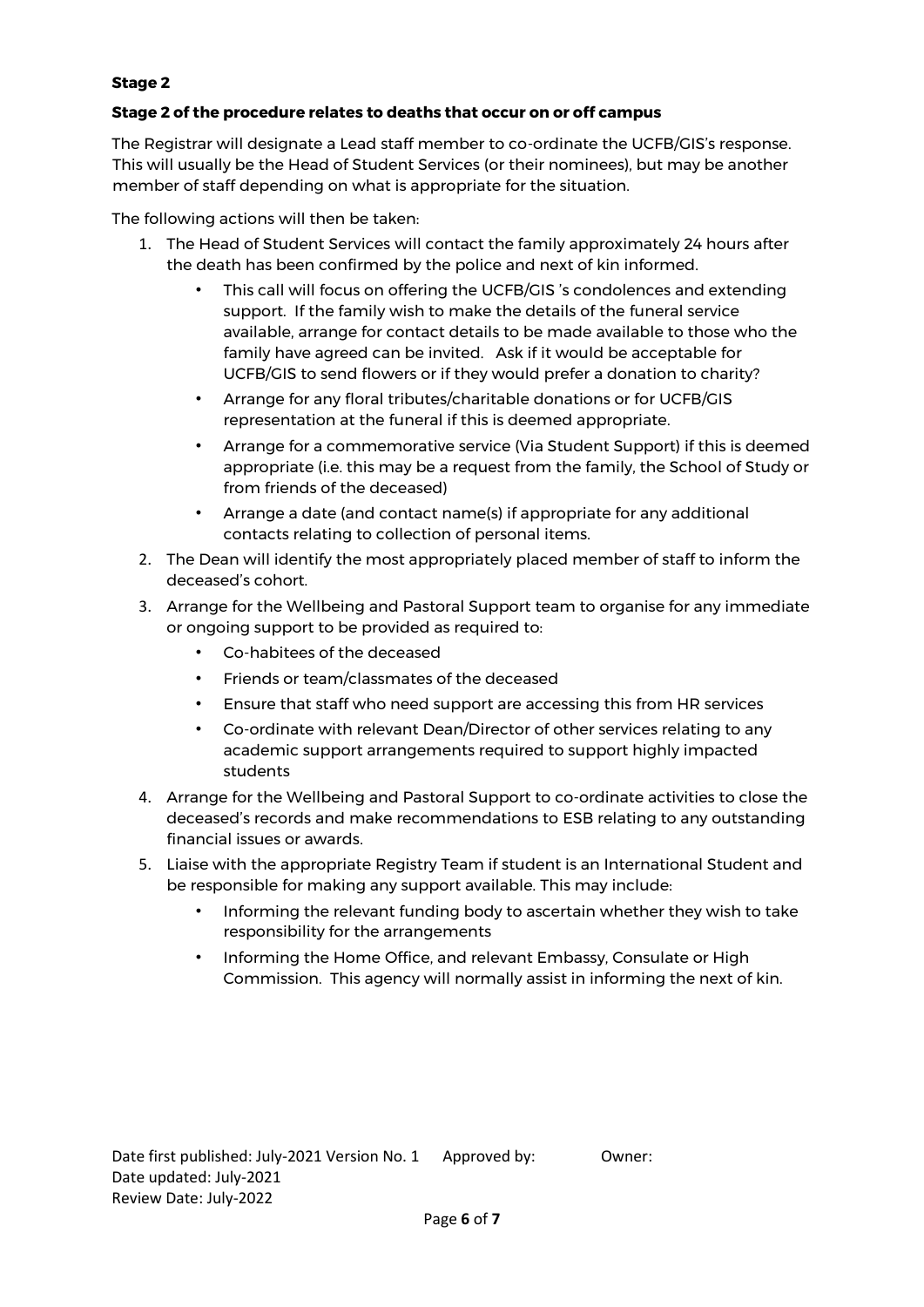# **Stage 2**

# **Stage 2 of the procedure relates to deaths that occur on or off campus**

The Registrar will designate a Lead staff member to co-ordinate the UCFB/GIS's response. This will usually be the Head of Student Services (or their nominees), but may be another member of staff depending on what is appropriate for the situation.

The following actions will then be taken:

- 1. The Head of Student Services will contact the family approximately 24 hours after the death has been confirmed by the police and next of kin informed.
	- This call will focus on offering the UCFB/GIS 's condolences and extending support. If the family wish to make the details of the funeral service available, arrange for contact details to be made available to those who the family have agreed can be invited. Ask if it would be acceptable for UCFB/GIS to send flowers or if they would prefer a donation to charity?
	- Arrange for any floral tributes/charitable donations or for UCFB/GIS representation at the funeral if this is deemed appropriate.
	- Arrange for a commemorative service (Via Student Support) if this is deemed appropriate (i.e. this may be a request from the family, the School of Study or from friends of the deceased)
	- Arrange a date (and contact name(s) if appropriate for any additional contacts relating to collection of personal items.
- 2. The Dean will identify the most appropriately placed member of staff to inform the deceased's cohort.
- 3. Arrange for the Wellbeing and Pastoral Support team to organise for any immediate or ongoing support to be provided as required to:
	- Co-habitees of the deceased
	- Friends or team/classmates of the deceased
	- Ensure that staff who need support are accessing this from HR services
	- Co-ordinate with relevant Dean/Director of other services relating to any academic support arrangements required to support highly impacted students
- 4. Arrange for the Wellbeing and Pastoral Support to co-ordinate activities to close the deceased's records and make recommendations to ESB relating to any outstanding financial issues or awards.
- 5. Liaise with the appropriate Registry Team if student is an International Student and be responsible for making any support available. This may include:
	- Informing the relevant funding body to ascertain whether they wish to take responsibility for the arrangements
	- Informing the Home Office, and relevant Embassy, Consulate or High Commission. This agency will normally assist in informing the next of kin.